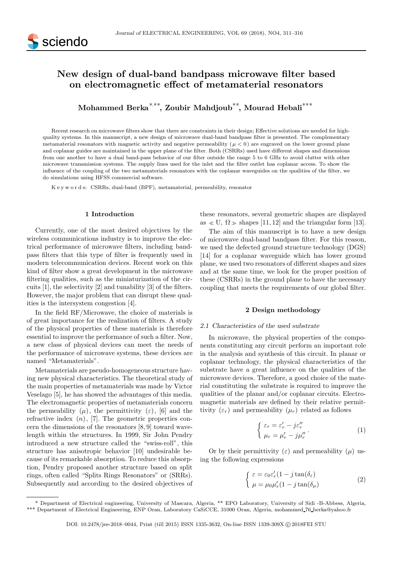

# New design of dual-band bandpass microwave filter based on electromagnetic effect of metamaterial resonators

Mohammed Berka<sup>∗,∗∗</sup>, Zoubir Mahdjoub<sup>∗∗</sup>, Mourad Hebali<sup>∗∗∗</sup>

Recent research on microwave filters show that there are constraints in their design; Effective solutions are needed for highquality systems. In this manuscript, a new design of microwave dual-band bandpass filter is presented. The complementary metamaterial resonators with magnetic activity and negative permeability ( $\mu < 0$ ) are engraved on the lower ground plane and coplanar guides are maintained in the upper plane of the filter. Both (CSRRs) used have different shapes and dimensions from one another to have a dual band-pass behavior of our filter outside the range 5 to 6 GHz to avoid clutter with other microwave transmission systems. The supply lines used for the inlet and the filter outlet has coplanar access. To show the influence of the coupling of the two metamaterials resonators with the coplanar waveguides on the qualities of the filter, we do simulations using HFSS commercial software.

K e y w o r d s: CSRRs, dual-band (BPF), metamaterial, permeability, resonator

#### 1 Introduction

Currently, one of the most desired objectives by the wireless communications industry is to improve the electrical performance of microwave filters, including bandpass filters that this type of filter is frequently used in modern telecommunication devices. Recent work on this kind of filter show a great development in the microwave filtering qualities, such as the miniaturization of the circuits [1], the selectivity [2] and tunability [3] of the filters. However, the major problem that can disrupt these qualities is the intersystem congestion [4].

In the field RF/Microwave, the choice of materials is of great importance for the realization of filters. A study of the physical properties of these materials is therefore essential to improve the performance of such a filter. Now, a new class of physical devices can meet the needs of the performance of microwave systems, these devices are named "Metamaterials".

Metamaterials are pseudo-homogeneous structure having new physical characteristics. The theoretical study of the main properties of metamaterials was made by Victor Veselago [5], he has showed the advantages of this media. The electromagnetic properties of metamaterials concern the permeability  $(\mu)$ , the permittivity  $(\varepsilon)$ , [6] and the refractive index  $(n)$ , [7]. The geometric properties concern the dimensions of the resonators [8, 9] toward wavelength within the structures. In 1999, Sir John Pendry introduced a new structure called the "swiss-roll", this structure has anisotropic behavior [10] undesirable because of its remarkable absorption. To reduce this absorption, Pendry proposed another structure based on split rings, often called "Splits Rings Resonators" or (SRRs). Subsequently and according to the desired objectives of

these resonators, several geometric shapes are displayed as  $\ll$  U,  $\Omega \gg$  shapes [11, 12] and the triangular form [13].

The aim of this manuscript is to have a new design of microwave dual-band bandpass filter. For this reason, we used the defected ground structure technology (DGS) [14] for a coplanar waveguide which has lower ground plane, we used two resonators of different shapes and sizes and at the same time, we look for the proper position of these (CSRRs) in the ground plane to have the necessary coupling that meets the requirements of our global filter.

#### 2 Design methodology

#### 2.1 Characteristics of the used substrate

In microwave, the physical properties of the components constituting any circuit perform an important role in the analysis and synthesis of this circuit. In planar or coplanar technology, the physical characteristics of the substrate have a great influence on the qualities of the microwave devices. Therefore, a good choice of the material constituting the substrate is required to improve the qualities of the planar and/or coplanar circuits. Electromagnetic materials are defined by their relative permittivity  $(\varepsilon_r)$  and permeability  $(\mu_r)$  related as follows

$$
\begin{cases} \varepsilon_r = \varepsilon'_r - j\varepsilon''_r \\ \mu_r = \mu'_r - j\mu''_r \end{cases} \tag{1}
$$

Or by their permittivity  $(\varepsilon)$  and permeability  $(\mu)$  using the following expressions

$$
\begin{cases}\n\varepsilon = \varepsilon_0 \varepsilon'_r (1 - j \tan(\delta_\varepsilon)) \\
\mu = \mu_0 \mu'_r (1 - j \tan(\delta_\mu))\n\end{cases}
$$
\n(2)

<sup>\*</sup> Department of Electrical engineering, University of Mascara, Algeria, \*\* EPO Laboratory, University of Sidi -B-Abbess, Algeria, \*\*\* Department of Electrical Engineering, ENP Oran, Laboratory CaSiCCE, 31000 Oran, Algeria, mohammed 76 berka@yahoo.fr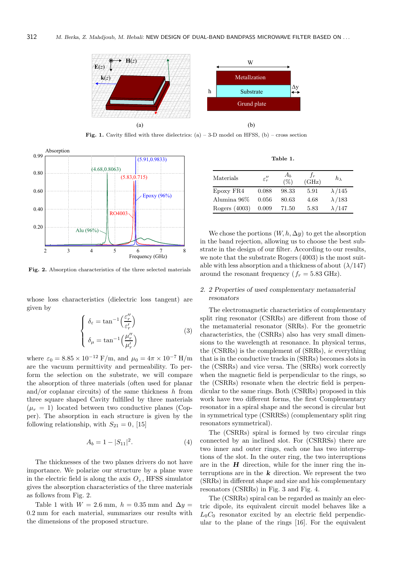

Fig. 1. Cavity filled with three dielectrics:  $(a) - 3-D$  model on HFSS,  $(b) - \text{cross section}$ 



Fig. 2. Absorption characteristics of the three selected materials

whose loss characteristics (dielectric loss tangent) are given by

$$
\begin{cases}\n\delta_{\varepsilon} = \tan^{-1}\left(\frac{\varepsilon_{r}^{\prime\prime}}{\varepsilon_{r}^{\prime}}\right) \\
\delta_{\mu} = \tan^{-1}\left(\frac{\mu_{r}^{\prime\prime}}{\mu_{r}^{\prime}}\right)\n\end{cases} \tag{3}
$$

where  $\varepsilon_0 = 8.85 \times 10^{-12} \text{ F/m}$ , and  $\mu_0 = 4\pi \times 10^{-7} \text{ H/m}$ are the vacuum permittivity and permeability. To perform the selection on the substrate, we will compare the absorption of three materials (often used for planar and/or coplanar circuits) of the same thickness  $h$  from three square shaped Cavity fulfilled by three materials  $(\mu_r = 1)$  located between two conductive planes (Copper). The absorption in each structure is given by the following relationship, with  $S_{21} = 0$ , [15]

$$
A_b = 1 - |S_{11}|^2. \tag{4}
$$

The thicknesses of the two planes drivers do not have importance. We polarize our structure by a plane wave in the electric field is along the axis  $O_z$ , HFSS simulator gives the absorption characteristics of the three materials as follows from Fig. 2.

Table 1 with  $W = 2.6$  mm,  $h = 0.35$  mm and  $\Delta y =$ 0.2 mm for each material, summarizes our results with the dimensions of the proposed structure.

Table 1.

| Materials     | $\varepsilon_{r}''$ | $A_b$<br>$(\%)$ | $\mathcal{T}_{T}$<br>(GHz) | $h_{\lambda}$ |
|---------------|---------------------|-----------------|----------------------------|---------------|
| Epoxy FR4     | 0.088               | 98.33           | 5.91                       | $\lambda/145$ |
| Alumina 96%   | 0.056               | 80.63           | 4.68                       | $\lambda/183$ |
| Rogers (4003) | 0.009               | 71.50           | 5.83                       | $\lambda/147$ |

We chose the portions  $(W, h, \Delta y)$  to get the absorption in the band rejection, allowing us to choose the best substrate in the design of our filter. According to our results, we note that the substrate Rogers (4003) is the most suitable with less absorption and a thickness of about  $(\lambda/147)$ around the resonant frequency ( $f_r = 5.83$  GHz).

# 2. 2 Properties of used complementary metamaterial resonators

The electromagnetic characteristics of complementary split ring resonator (CSRRs) are different from those of the metamaterial resonator (SRRs). For the geometric characteristics, the (CSRRs) also has very small dimensions to the wavelength at resonance. In physical terms, the (CSRRs) is the complement of (SRRs), ie everything that is in the conductive tracks in (SRRs) becomes slots in the (CSRRs) and vice versa. The (SRRs) work correctly when the magnetic field is perpendicular to the rings, so the (CSRRs) resonate when the electric field is perpendicular to the same rings. Both (CSRRs) proposed in this work have two different forms, the first Complementary resonator in a spiral shape and the second is circular but in symmetrical type (CSRRSs) (complementary split ring resonators symmetrical).

The (CSRRs) spiral is formed by two circular rings connected by an inclined slot. For (CSRRSs) there are two inner and outer rings, each one has two interruptions of the slot. In the outer ring, the two interruptions are in the  $H$  direction, while for the inner ring the interruptions are in the  $k$  direction. We represent the two (SRRs) in different shape and size and his complementary resonators (CSRRs) in Fig. 3 and Fig. 4.

The (CSRRs) spiral can be regarded as mainly an electric dipole, its equivalent circuit model behaves like a  $L_0C_0$  resonator excited by an electric field perpendicular to the plane of the rings [16]. For the equivalent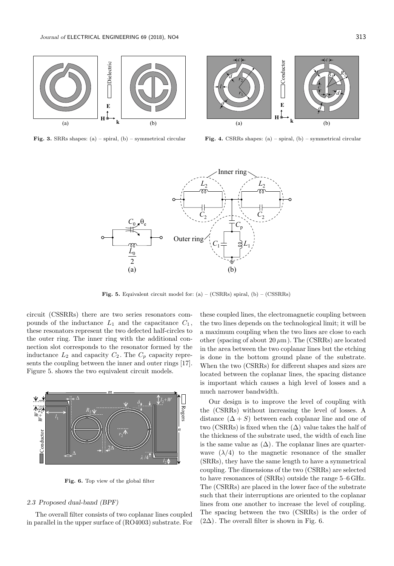

Fig. 3. SRRs shapes: (a) – spiral, (b) – symmetrical circular



Fig. 4. CSRRs shapes: (a) – spiral, (b) – symmetrical circular



Fig. 5. Equivalent circuit model for:  $(a) - (CSRRs)$  spiral,  $(b) - (CSSRRs)$ 

circuit (CSSRRs) there are two series resonators compounds of the inductance  $L_1$  and the capacitance  $C_1$ , these resonators represent the two defected half-circles to the outer ring. The inner ring with the additional connection slot corresponds to the resonator formed by the inductance  $L_2$  and capacity  $C_2$ . The  $C_p$  capacity represents the coupling between the inner and outer rings [17]. Figure 5. shows the two equivalent circuit models.



Fig. 6. Top view of the global filter

## 2.3 Proposed dual-band (BPF)

The overall filter consists of two coplanar lines coupled in parallel in the upper surface of (RO4003) substrate. For

these coupled lines, the electromagnetic coupling between the two lines depends on the technological limit; it will be a maximum coupling when the two lines are close to each other (spacing of about  $20 \mu m$ ). The (CSRRs) are located in the area between the two coplanar lines but the etching is done in the bottom ground plane of the substrate. When the two (CSRRs) for different shapes and sizes are located between the coplanar lines, the spacing distance is important which causes a high level of losses and a much narrower bandwidth.

Our design is to improve the level of coupling with the (CSRRs) without increasing the level of losses. A distance  $(\Delta + S)$  between each coplanar line and one of two (CSRRs) is fixed when the  $(\Delta)$  value takes the half of the thickness of the substrate used, the width of each line is the same value as  $(\Delta)$ . The coplanar lines are quarterwave  $(\lambda/4)$  to the magnetic resonance of the smaller (SRRs), they have the same length to have a symmetrical coupling. The dimensions of the two (CSRRs) are selected to have resonances of (SRRs) outside the range 5–6 GHz. The (CSRRs) are placed in the lower face of the substrate such that their interruptions are oriented to the coplanar lines from one another to increase the level of coupling. The spacing between the two (CSRRs) is the order of  $(2\Delta)$ . The overall filter is shown in Fig. 6.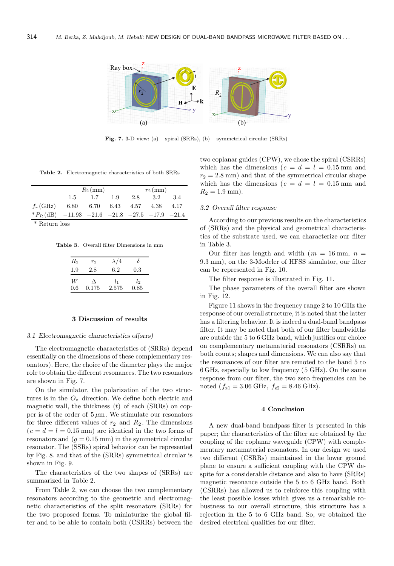

Fig. 7. 3-D view: (a) – spiral (SRRs), (b) – symmetrical circular (SRRs)

Table 2. Electromagnetic characteristics of both SRRs

|                                                  | $R_2$ (mm)          |     |     | $r_2$ (mm) |      |      |
|--------------------------------------------------|---------------------|-----|-----|------------|------|------|
|                                                  | 1.5                 | 1.7 | 1.9 | 2.8        | 3.2  | 3.4  |
| $f_r$ (GHz)                                      | 6.80 6.70 6.43 4.57 |     |     |            | 4.38 | 4.17 |
| $*P_R$ (dB) -11.93 -21.6 -21.8 -27.5 -17.9 -21.4 |                     |     |     |            |      |      |

\* Return loss

Table 3. Overall filter Dimensions in mm

| $R_2$ | $r_2$ | $\lambda/4$ | δ       |
|-------|-------|-------------|---------|
| 1.9   | 2.8   | 6.2         | $0.3\,$ |
| W     | Δ     | l1          | lэ      |
| 0.6   | 0.175 | 2.575       | 0.85    |

## 3 Discussion of results

## 3.1 Electromagnetic characteristics of(srrs)

The electromagnetic characteristics of (SRRs) depend essentially on the dimensions of these complementary resonators). Here, the choice of the diameter plays the major role to obtain the different resonances. The two resonators are shown in Fig. 7.

On the simulator, the polarization of the two structures is in the  $O_z$  direction. We define both electric and magnetic wall, the thickness  $(t)$  of each (SRRs) on copper is of the order of  $5 \mu \text{m}$ . We stimulate our resonators for three different values of  $r_2$  and  $R_2$ . The dimensions  $(c = d = l = 0.15$  mm) are identical in the two forms of resonators and  $(q = 0.15 \text{ mm})$  in the symmetrical circular resonator. The (SSRs) spiral behavior can be represented by Fig. 8. and that of the (SRRs) symmetrical circular is shown in Fig. 9.

The characteristics of the two shapes of (SRRs) are summarized in Table 2.

From Table 2, we can choose the two complementary resonators according to the geometric and electromagnetic characteristics of the split resonators (SRRs) for the two proposed forms. To miniaturize the global filter and to be able to contain both (CSRRs) between the two coplanar guides (CPW), we chose the spiral (CSRRs) which has the dimensions ( $c = d = l = 0.15$  mm and  $r_2 = 2.8$  mm) and that of the symmetrical circular shape which has the dimensions ( $c = d = l = 0.15$  mm and  $R_2 = 1.9$  mm).

## 3.2 Overall filter response

According to our previous results on the characteristics of (SRRs) and the physical and geometrical characteristics of the substrate used, we can characterize our filter in Table 3.

Our filter has length and width  $(m = 16 \text{ mm}, n =$ 9.3 mm), on the 3-Modeler of HFSS simulator, our filter can be represented in Fig. 10.

The filter response is illustrated in Fig. 11.

The phase parameters of the overall filter are shown in Fig. 12.

Figure 11 shows in the frequency range 2 to 10 GHz the response of our overall structure, it is noted that the latter has a filtering behavior. It is indeed a dual-band bandpass filter. It may be noted that both of our filter bandwidths are outside the 5 to 6 GHz band, which justifies our choice on complementary metamaterial resonators (CSRRs) on both counts; shapes and dimensions. We can also say that the resonances of our filter are remoted to the band 5 to 6 GHz, especially to low frequency (5 GHz). On the same response from our filter, the two zero frequencies can be noted ( $f_{z1} = 3.06$  GHz,  $f_{z2} = 8.46$  GHz).

# 4 Conclusion

A new dual-band bandpass filter is presented in this paper; the characteristics of the filter are obtained by the coupling of the coplanar waveguide (CPW) with complementary metamaterial resonators. In our design we used two different (CSRRs) maintained in the lower ground plane to ensure a sufficient coupling with the CPW despite for a considerable distance and also to have (SRRs) magnetic resonance outside the 5 to 6 GHz band. Both (CSRRs) has allowed us to reinforce this coupling with the least possible losses which gives us a remarkable robustness to our overall structure, this structure has a rejection in the 5 to 6 GHz band. So, we obtained the desired electrical qualities for our filter.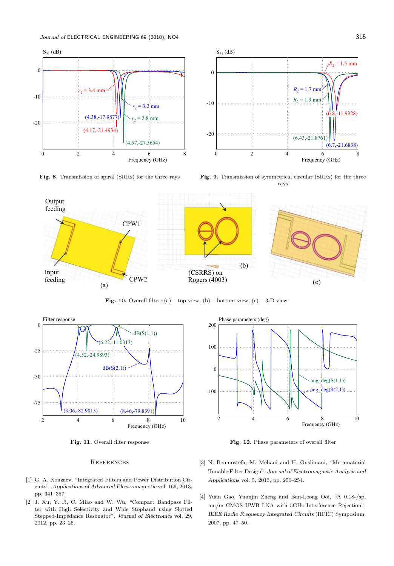

Fig. 8. Transmission of spiral (SRRs) for the three rays



Fig. 9. Transmission of symmetrical circular (SRRs) for the three rays



Fig. 10. Overall filter: (a) – top view, (b) – bottom view, (c) – 3-D view



Fig. 11. Overall filter response

#### **REFERENCES**

- [1] G. A. Kouzaev, "Integrated Filters and Power Distribution Circuits", Applications of Advanced Electromagnetic vol. 169, 2013, pp. 341–357.
- [2] J. Xu, Y. Ji, C. Miao and W. Wu, "Compact Bandpass Filter with High Selectivity and Wide Stopband using Slotted Stepped-Impedance Resonator", Journal of Electronics vol. 29, 2012, pp. 23–26.



Fig. 12. Phase parameters of overall filter

- [3] N. Benmostefa, M. Meliani and H. Ouslimani, "Metamaterial Tunable Filter Design", Journal of Electromagnetic Analysis and Applications vol. 5, 2013, pp. 250–254.
- [4] Yuan Gao, Yuanjin Zheng and Ban-Leong Ooi, "A 0.18-/spl mu/m CMOS UWB LNA with 5GHz Interference Rejection", IEEE Radio Frequency Integrated Circuits (RFIC) Symposium, 2007, pp. 47–50.